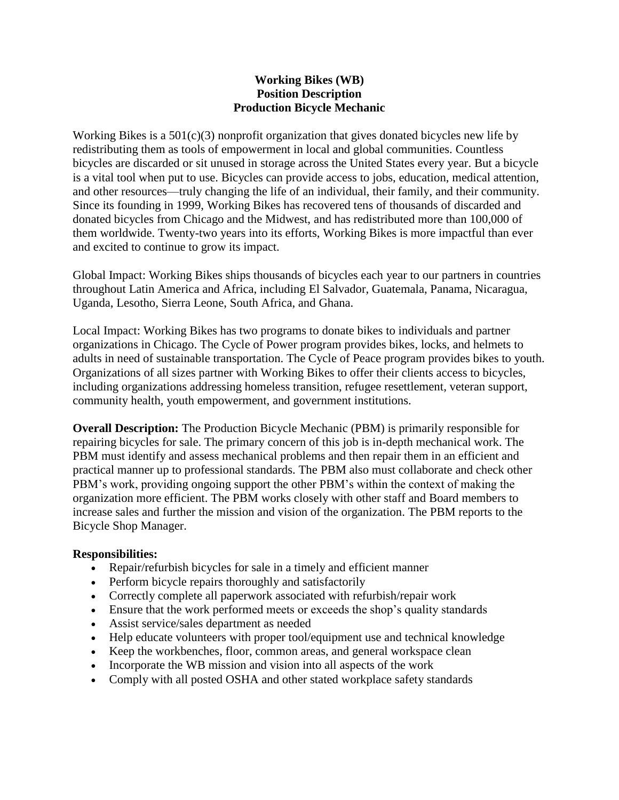## **Working Bikes (WB) Position Description Production Bicycle Mechanic**

Working Bikes is a 501(c)(3) nonprofit organization that gives donated bicycles new life by redistributing them as tools of empowerment in local and global communities. Countless bicycles are discarded or sit unused in storage across the United States every year. But a bicycle is a vital tool when put to use. Bicycles can provide access to jobs, education, medical attention, and other resources—truly changing the life of an individual, their family, and their community. Since its founding in 1999, Working Bikes has recovered tens of thousands of discarded and donated bicycles from Chicago and the Midwest, and has redistributed more than 100,000 of them worldwide. Twenty-two years into its efforts, Working Bikes is more impactful than ever and excited to continue to grow its impact.

Global Impact: Working Bikes ships thousands of bicycles each year to our partners in countries throughout Latin America and Africa, including El Salvador, Guatemala, Panama, Nicaragua, Uganda, Lesotho, Sierra Leone, South Africa, and Ghana.

Local Impact: Working Bikes has two programs to donate bikes to individuals and partner organizations in Chicago. The Cycle of Power program provides bikes, locks, and helmets to adults in need of sustainable transportation. The Cycle of Peace program provides bikes to youth. Organizations of all sizes partner with Working Bikes to offer their clients access to bicycles, including organizations addressing homeless transition, refugee resettlement, veteran support, community health, youth empowerment, and government institutions.

**Overall Description:** The Production Bicycle Mechanic (PBM) is primarily responsible for repairing bicycles for sale. The primary concern of this job is in-depth mechanical work. The PBM must identify and assess mechanical problems and then repair them in an efficient and practical manner up to professional standards. The PBM also must collaborate and check other PBM's work, providing ongoing support the other PBM's within the context of making the organization more efficient. The PBM works closely with other staff and Board members to increase sales and further the mission and vision of the organization. The PBM reports to the Bicycle Shop Manager.

## **Responsibilities:**

- Repair/refurbish bicycles for sale in a timely and efficient manner
- Perform bicycle repairs thoroughly and satisfactorily
- Correctly complete all paperwork associated with refurbish/repair work
- Ensure that the work performed meets or exceeds the shop's quality standards
- Assist service/sales department as needed
- Help educate volunteers with proper tool/equipment use and technical knowledge
- Keep the workbenches, floor, common areas, and general workspace clean
- Incorporate the WB mission and vision into all aspects of the work
- Comply with all posted OSHA and other stated workplace safety standards